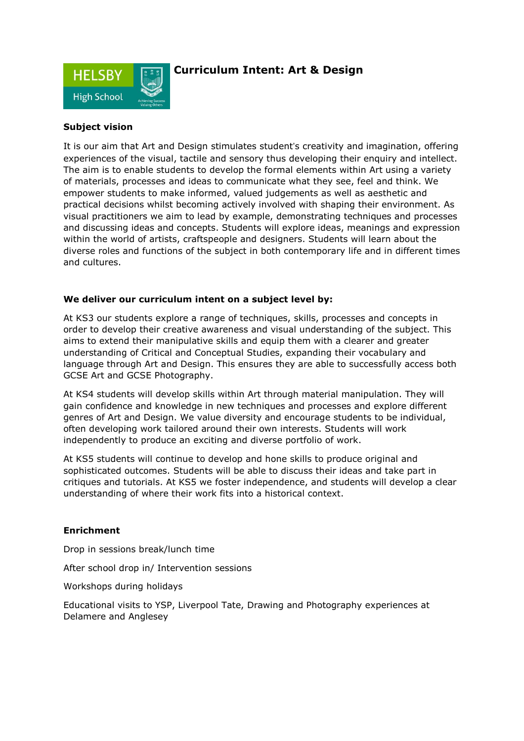

## **Curriculum Intent: Art & Design**

### **Subject vision**

It is our aim that Art and Design stimulates student's creativity and imagination, offering experiences of the visual, tactile and sensory thus developing their enquiry and intellect. The aim is to enable students to develop the formal elements within Art using a variety of materials, processes and ideas to communicate what they see, feel and think. We empower students to make informed, valued judgements as well as aesthetic and practical decisions whilst becoming actively involved with shaping their environment. As visual practitioners we aim to lead by example, demonstrating techniques and processes and discussing ideas and concepts. Students will explore ideas, meanings and expression within the world of artists, craftspeople and designers. Students will learn about the diverse roles and functions of the subject in both contemporary life and in different times and cultures.

#### **We deliver our curriculum intent on a subject level by:**

At KS3 our students explore a range of techniques, skills, processes and concepts in order to develop their creative awareness and visual understanding of the subject. This aims to extend their manipulative skills and equip them with a clearer and greater understanding of Critical and Conceptual Studies, expanding their vocabulary and language through Art and Design. This ensures they are able to successfully access both GCSE Art and GCSE Photography.

At KS4 students will develop skills within Art through material manipulation. They will gain confidence and knowledge in new techniques and processes and explore different genres of Art and Design. We value diversity and encourage students to be individual, often developing work tailored around their own interests. Students will work independently to produce an exciting and diverse portfolio of work.

At KS5 students will continue to develop and hone skills to produce original and sophisticated outcomes. Students will be able to discuss their ideas and take part in critiques and tutorials. At KS5 we foster independence, and students will develop a clear understanding of where their work fits into a historical context.

#### **Enrichment**

Drop in sessions break/lunch time

After school drop in/ Intervention sessions

Workshops during holidays

Educational visits to YSP, Liverpool Tate, Drawing and Photography experiences at Delamere and Anglesey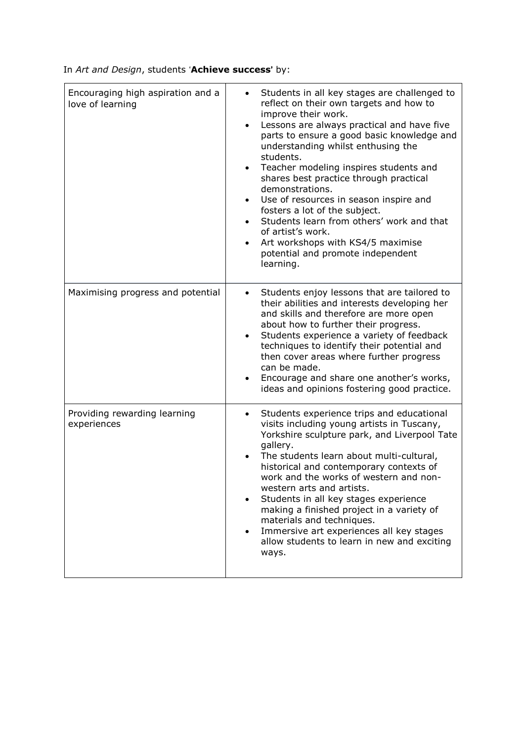In *Art and Design*, students '**Achieve success**' by:

| Encouraging high aspiration and a<br>love of learning | Students in all key stages are challenged to<br>$\bullet$<br>reflect on their own targets and how to<br>improve their work.<br>Lessons are always practical and have five<br>$\bullet$<br>parts to ensure a good basic knowledge and<br>understanding whilst enthusing the<br>students.<br>Teacher modeling inspires students and<br>$\bullet$<br>shares best practice through practical<br>demonstrations.<br>Use of resources in season inspire and<br>$\bullet$<br>fosters a lot of the subject.<br>Students learn from others' work and that<br>$\bullet$<br>of artist's work.<br>Art workshops with KS4/5 maximise<br>$\bullet$<br>potential and promote independent<br>learning. |
|-------------------------------------------------------|----------------------------------------------------------------------------------------------------------------------------------------------------------------------------------------------------------------------------------------------------------------------------------------------------------------------------------------------------------------------------------------------------------------------------------------------------------------------------------------------------------------------------------------------------------------------------------------------------------------------------------------------------------------------------------------|
| Maximising progress and potential                     | Students enjoy lessons that are tailored to<br>$\bullet$<br>their abilities and interests developing her<br>and skills and therefore are more open<br>about how to further their progress.<br>Students experience a variety of feedback<br>$\bullet$<br>techniques to identify their potential and<br>then cover areas where further progress<br>can be made.<br>Encourage and share one another's works,<br>$\bullet$<br>ideas and opinions fostering good practice.                                                                                                                                                                                                                  |
| Providing rewarding learning<br>experiences           | Students experience trips and educational<br>$\bullet$<br>visits including young artists in Tuscany,<br>Yorkshire sculpture park, and Liverpool Tate<br>gallery.<br>The students learn about multi-cultural,<br>historical and contemporary contexts of<br>work and the works of western and non-<br>western arts and artists.<br>Students in all key stages experience<br>$\bullet$<br>making a finished project in a variety of<br>materials and techniques.<br>Immersive art experiences all key stages<br>$\bullet$<br>allow students to learn in new and exciting<br>ways.                                                                                                        |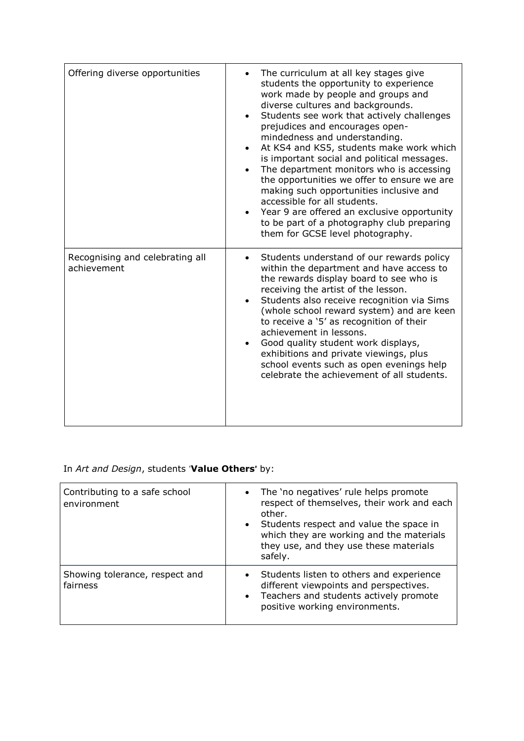| Offering diverse opportunities                 | The curriculum at all key stages give<br>students the opportunity to experience<br>work made by people and groups and<br>diverse cultures and backgrounds.<br>Students see work that actively challenges<br>prejudices and encourages open-<br>mindedness and understanding.<br>At KS4 and KS5, students make work which<br>is important social and political messages.<br>The department monitors who is accessing<br>the opportunities we offer to ensure we are<br>making such opportunities inclusive and<br>accessible for all students.<br>• Year 9 are offered an exclusive opportunity<br>to be part of a photography club preparing<br>them for GCSE level photography. |
|------------------------------------------------|----------------------------------------------------------------------------------------------------------------------------------------------------------------------------------------------------------------------------------------------------------------------------------------------------------------------------------------------------------------------------------------------------------------------------------------------------------------------------------------------------------------------------------------------------------------------------------------------------------------------------------------------------------------------------------|
| Recognising and celebrating all<br>achievement | Students understand of our rewards policy<br>$\bullet$<br>within the department and have access to<br>the rewards display board to see who is<br>receiving the artist of the lesson.<br>Students also receive recognition via Sims<br>(whole school reward system) and are keen<br>to receive a '5' as recognition of their<br>achievement in lessons.<br>Good quality student work displays,<br>exhibitions and private viewings, plus<br>school events such as open evenings help<br>celebrate the achievement of all students.                                                                                                                                                |

# In *Art and Design*, students '**Value Others**' by:

| Contributing to a safe school<br>environment | • The 'no negatives' rule helps promote<br>respect of themselves, their work and each<br>other.<br>• Students respect and value the space in<br>which they are working and the materials<br>they use, and they use these materials<br>safely. |
|----------------------------------------------|-----------------------------------------------------------------------------------------------------------------------------------------------------------------------------------------------------------------------------------------------|
| Showing tolerance, respect and<br>fairness   | • Students listen to others and experience<br>different viewpoints and perspectives.<br>Teachers and students actively promote<br>$\bullet$<br>positive working environments.                                                                 |